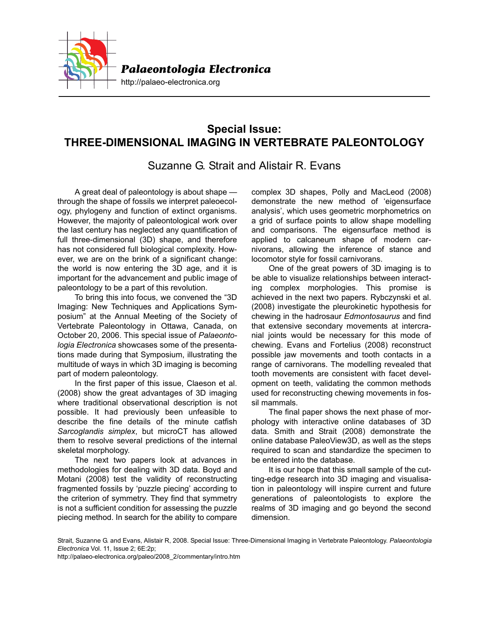

## **Special Issue: THREE-DIMENSIONAL IMAGING IN VERTEBRATE PALEONTOLOGY**

Suzanne G. Strait and Alistair R. Evans

A great deal of paleontology is about shape through the shape of fossils we interpret paleoecology, phylogeny and function of extinct organisms. However, the majority of paleontological work over the last century has neglected any quantification of full three-dimensional (3D) shape, and therefore has not considered full biological complexity. However, we are on the brink of a significant change: the world is now entering the 3D age, and it is important for the advancement and public image of paleontology to be a part of this revolution.

To bring this into focus, we convened the "3D Imaging: New Techniques and Applications Symposium" at the Annual Meeting of the Society of Vertebrate Paleontology in Ottawa, Canada, on October 20, 2006. This special issue of *Palaeontologia Electronica* showcases some of the presentations made during that Symposium, illustrating the multitude of ways in which 3D imaging is becoming part of modern paleontology.

In the first paper of this issue, Claeson et al. (2008) show the great advantages of 3D imaging where traditional observational description is not possible. It had previously been unfeasible to describe the fine details of the minute catfish *Sarcoglandis simplex*, but microCT has allowed them to resolve several predictions of the internal skeletal morphology.

The next two papers look at advances in methodologies for dealing with 3D data. Boyd and Motani (2008) test the validity of reconstructing fragmented fossils by 'puzzle piecing' according to the criterion of symmetry. They find that symmetry is not a sufficient condition for assessing the puzzle piecing method. In search for the ability to compare

complex 3D shapes, Polly and MacLeod (2008) demonstrate the new method of 'eigensurface analysis', which uses geometric morphometrics on a grid of surface points to allow shape modelling and comparisons. The eigensurface method is applied to calcaneum shape of modern carnivorans, allowing the inference of stance and locomotor style for fossil carnivorans.

One of the great powers of 3D imaging is to be able to visualize relationships between interacting complex morphologies. This promise is achieved in the next two papers. Rybczynski et al. (2008) investigate the pleurokinetic hypothesis for chewing in the hadrosaur *Edmontosaurus* and find that extensive secondary movements at intercranial joints would be necessary for this mode of chewing. Evans and Fortelius (2008) reconstruct possible jaw movements and tooth contacts in a range of carnivorans. The modelling revealed that tooth movements are consistent with facet development on teeth, validating the common methods used for reconstructing chewing movements in fossil mammals.

The final paper shows the next phase of morphology with interactive online databases of 3D data. Smith and Strait (2008) demonstrate the online database PaleoView3D, as well as the steps required to scan and standardize the specimen to be entered into the database.

It is our hope that this small sample of the cutting-edge research into 3D imaging and visualisation in paleontology will inspire current and future generations of paleontologists to explore the realms of 3D imaging and go beyond the second dimension.

Strait, Suzanne G. and Evans, Alistair R, 2008. Special Issue: Three-Dimensional Imaging in Vertebrate Paleontology. *Palaeontologia Electronica* Vol. 11, Issue 2; 6E:2p;

http://palaeo-electronica.org/paleo/2008\_2/commentary/intro.htm